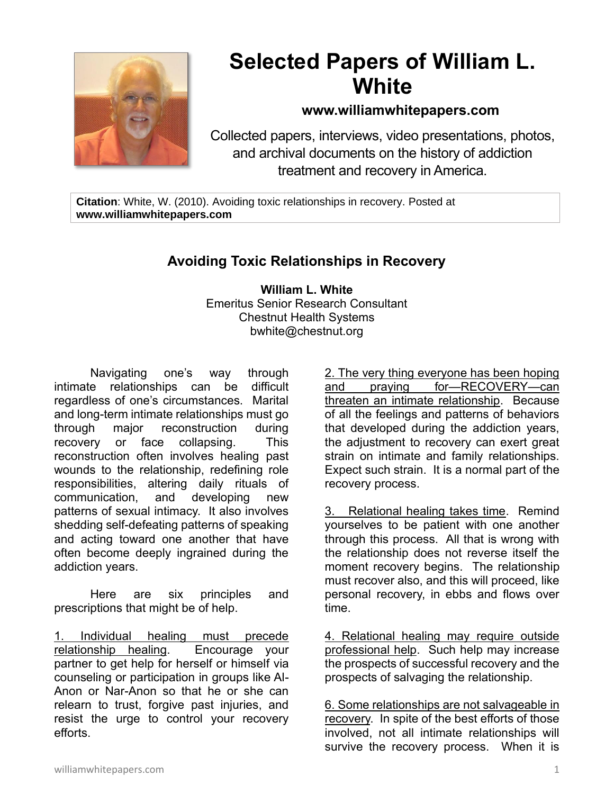

## **Selected Papers of William L. White**

## **www.williamwhitepapers.com**

Collected papers, interviews, video presentations, photos, and archival documents on the history of addiction treatment and recovery in America.

**Citation**: White, W. (2010). Avoiding toxic relationships in recovery. Posted at **www.williamwhitepapers.com**

## **Avoiding Toxic Relationships in Recovery**

**William L. White** Emeritus Senior Research Consultant Chestnut Health Systems bwhite@chestnut.org

Navigating one's way through intimate relationships can be difficult regardless of one's circumstances. Marital and long-term intimate relationships must go through major reconstruction during recovery or face collapsing. This reconstruction often involves healing past wounds to the relationship, redefining role responsibilities, altering daily rituals of communication, and developing new patterns of sexual intimacy. It also involves shedding self-defeating patterns of speaking and acting toward one another that have often become deeply ingrained during the addiction years.

Here are six principles and prescriptions that might be of help.

1. Individual healing must precede relationship healing. Encourage your partner to get help for herself or himself via counseling or participation in groups like Al-Anon or Nar-Anon so that he or she can relearn to trust, forgive past injuries, and resist the urge to control your recovery efforts.

2. The very thing everyone has been hoping and praying for—RECOVERY—can threaten an intimate relationship. Because of all the feelings and patterns of behaviors that developed during the addiction years, the adjustment to recovery can exert great strain on intimate and family relationships. Expect such strain. It is a normal part of the recovery process.

3. Relational healing takes time. Remind yourselves to be patient with one another through this process. All that is wrong with the relationship does not reverse itself the moment recovery begins. The relationship must recover also, and this will proceed, like personal recovery, in ebbs and flows over time.

4. Relational healing may require outside professional help. Such help may increase the prospects of successful recovery and the prospects of salvaging the relationship.

6. Some relationships are not salvageable in recovery. In spite of the best efforts of those involved, not all intimate relationships will survive the recovery process. When it is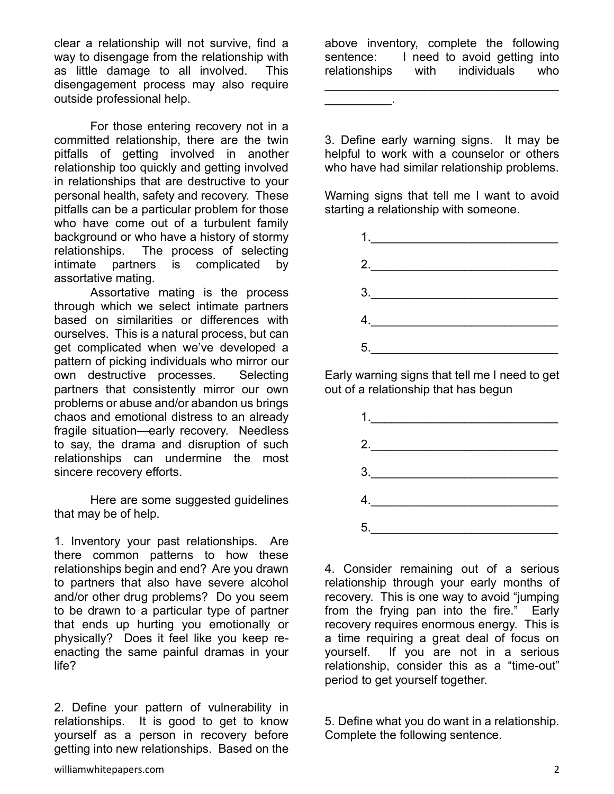clear a relationship will not survive, find a way to disengage from the relationship with as little damage to all involved. This disengagement process may also require outside professional help.

For those entering recovery not in a committed relationship, there are the twin pitfalls of getting involved in another relationship too quickly and getting involved in relationships that are destructive to your personal health, safety and recovery. These pitfalls can be a particular problem for those who have come out of a turbulent family background or who have a history of stormy relationships. The process of selecting intimate partners is complicated by assortative mating.

Assortative mating is the process through which we select intimate partners based on similarities or differences with ourselves. This is a natural process, but can get complicated when we've developed a pattern of picking individuals who mirror our own destructive processes. Selecting partners that consistently mirror our own problems or abuse and/or abandon us brings chaos and emotional distress to an already fragile situation—early recovery. Needless to say, the drama and disruption of such relationships can undermine the most sincere recovery efforts.

Here are some suggested guidelines that may be of help.

1. Inventory your past relationships. Are there common patterns to how these relationships begin and end? Are you drawn to partners that also have severe alcohol and/or other drug problems? Do you seem to be drawn to a particular type of partner that ends up hurting you emotionally or physically? Does it feel like you keep reenacting the same painful dramas in your life?

2. Define your pattern of vulnerability in relationships. It is good to get to know yourself as a person in recovery before getting into new relationships. Based on the above inventory, complete the following sentence: I need to avoid getting into relationships with individuals who  $\mathcal{L}_\text{max}$  , and the set of the set of the set of the set of the set of the set of the set of the set of the set of the set of the set of the set of the set of the set of the set of the set of the set of the set of the

 $\overline{\phantom{a}}$  . The set of the set of the set of the set of the set of the set of the set of the set of the set of the set of the set of the set of the set of the set of the set of the set of the set of the set of the set o

3. Define early warning signs. It may be helpful to work with a counselor or others who have had similar relationship problems.

Warning signs that tell me I want to avoid starting a relationship with someone.

| 1. $\qquad \qquad$                                                                                                                                                                                                                                                                                                                                                                                                                                                                                                                                   |  |  |  |
|------------------------------------------------------------------------------------------------------------------------------------------------------------------------------------------------------------------------------------------------------------------------------------------------------------------------------------------------------------------------------------------------------------------------------------------------------------------------------------------------------------------------------------------------------|--|--|--|
| 2.                                                                                                                                                                                                                                                                                                                                                                                                                                                                                                                                                   |  |  |  |
| $\begin{array}{c}\n3.\n\end{array}$                                                                                                                                                                                                                                                                                                                                                                                                                                                                                                                  |  |  |  |
| $\begin{array}{c} \n4. \quad \text{---} \quad \text{---} \quad \text{---} \quad \text{---} \quad \text{---} \quad \text{---} \quad \text{---} \quad \text{---} \quad \text{---} \quad \text{---} \quad \text{---} \quad \text{---} \quad \text{---} \quad \text{---} \quad \text{---} \quad \text{---} \quad \text{---} \quad \text{---} \quad \text{---} \quad \text{---} \quad \text{---} \quad \text{---} \quad \text{---} \quad \text{---} \quad \text{---} \quad \text{---} \quad \text{---} \quad \text{---} \quad \text{---} \quad \text{---$ |  |  |  |
| 5.                                                                                                                                                                                                                                                                                                                                                                                                                                                                                                                                                   |  |  |  |
|                                                                                                                                                                                                                                                                                                                                                                                                                                                                                                                                                      |  |  |  |

Early warning signs that tell me I need to get out of a relationship that has begun

| $\begin{array}{c} \n 1. & \quad \text{if } \\ \n 1. & \quad \text{if } \\ \n 1. & \quad \text{if } \\ \n 1. & \quad \text{if } \\ \n 1. & \quad \text{if } \\ \n 1. & \quad \text{if } \\ \n 1. & \quad \text{if } \\ \n 1. & \quad \text{if } \\ \n 1. & \quad \text{if } \\ \n 1. & \quad \text{if } \\ \n 1. & \quad \text{if } \\ \n 1. & \quad \text{if } \\ \n 1. & \quad \text{if } \\ \n 1. & \quad \text{if } \\ \n 1. & \quad \text{if } \\ \n $                            |  |  |  |
|---------------------------------------------------------------------------------------------------------------------------------------------------------------------------------------------------------------------------------------------------------------------------------------------------------------------------------------------------------------------------------------------------------------------------------------------------------------------------------------|--|--|--|
| 2.                                                                                                                                                                                                                                                                                                                                                                                                                                                                                    |  |  |  |
| $\begin{array}{c} 3. \qquad \qquad \text{or} \qquad \text{if} \qquad \text{if} \qquad \text{if} \qquad \text{if} \qquad \text{if} \qquad \text{if} \qquad \text{if} \qquad \text{if} \qquad \text{if} \qquad \text{if} \qquad \text{if} \qquad \text{if} \qquad \text{if} \qquad \text{if} \qquad \text{if} \qquad \text{if} \qquad \text{if} \qquad \text{if} \qquad \text{if} \qquad \text{if} \qquad \text{if} \qquad \text{if} \qquad \text{if} \qquad \text{if} \qquad \text{if$ |  |  |  |
| 4.                                                                                                                                                                                                                                                                                                                                                                                                                                                                                    |  |  |  |
| $5.$                                                                                                                                                                                                                                                                                                                                                                                                                                                                                  |  |  |  |

4. Consider remaining out of a serious relationship through your early months of recovery. This is one way to avoid "jumping from the frying pan into the fire." Early recovery requires enormous energy. This is a time requiring a great deal of focus on yourself. If you are not in a serious relationship, consider this as a "time-out" period to get yourself together.

5. Define what you do want in a relationship. Complete the following sentence.